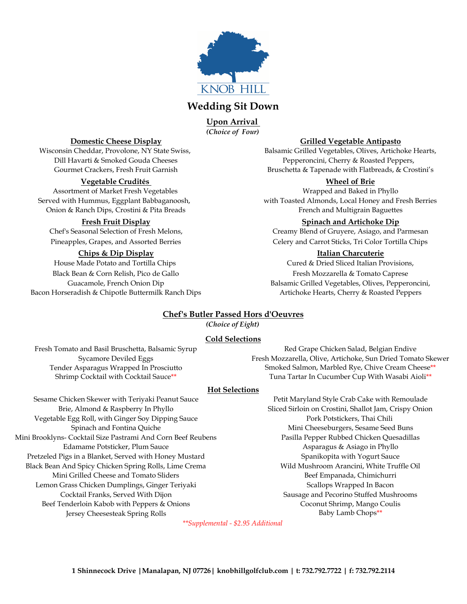

# **Wedding Sit Down**

*(Choice of Four)* **Upon Arrival** 

### **Vegetable Crudités Wheel of Brie**

Assortment of Market Fresh Vegetables Number of Market Tresh Vegetables Wrapped and Baked in Phyllo Onion & Ranch Dips, Crostini & Pita Breads French and Multigrain Baguettes

### **Chips & Dip Display Italian Charcuterie**

Black Bean & Corn Relish, Pico de Gallo **Fresh Mozzarella & Tomato Caprese** Fresh Mozzarella & Tomato Caprese Bacon Horseradish & Chipotle Buttermilk Ranch Dips Artichoke Hearts, Cherry & Roasted Peppers

#### **Domestic Cheese Display Grilled Vegetable Antipasto**

Wisconsin Cheddar, Provolone, NY State Swiss, Balsamic Grilled Vegetables, Olives, Artichoke Hearts, Dill Havarti & Smoked Gouda Cheeses Pepperoncini, Cherry & Roasted Peppers, Gourmet Crackers, Fresh Fruit Garnish Bruschetta & Tapenade with Flatbreads, & Crostini's

Served with Hummus, Eggplant Babbaganoosh, with Toasted Almonds, Local Honey and Fresh Berries

#### **Fresh Fruit Display Spinach and Artichoke Dip**

Chef's Seasonal Selection of Fresh Melons, Creamy Blend of Gruyere, Asiago, and Parmesan Pineapples, Grapes, and Assorted Berries **Celery and Carrot Sticks**, Tri Color Tortilla Chips

House Made Potato and Tortilla Chips Cured & Dried Sliced Italian Provisions, Guacamole, French Onion Dip Balsamic Grilled Vegetables, Olives, Pepperoncini,

## **Chef's Butler Passed Hors d'Oeuvres**

*(Choice of Eight)*

### **Cold Selections**

Fresh Tomato and Basil Bruschetta, Balsamic Syrup Red Grape Chicken Salad, Belgian Endive Sycamore Deviled Eggs Fresh Mozzarella, Olive, Artichoke, Sun Dried Tomato Skewer Tender Asparagus Wrapped In Prosciutto Smoked Salmon, Marbled Rye, Chive Cream Cheese\*\*<br>Shrimp Cocktail with Cocktail Sauce\*\* Tuna Tartar In Cucumber Cup With Wasabi Aioli\*\* Tuna Tartar In Cucumber Cup With Wasabi Aioli\*\*

## **Hot Selections**

Sesame Chicken Skewer with Teriyaki Peanut Sauce Petit Maryland Style Crab Cake with Remoulade Vegetable Egg Roll, with Ginger Soy Dipping Sauce Pork Pork Pork Potstickers, Thai Chili Mini Brooklyns- Cocktail Size Pastrami And Corn Beef Reubens Pasilla Pepper Rubbed Chicken Quesadillas Edamame Potsticker, Plum Sauce **Asparagus & Asiago in Phyllo** Asparagus & Asiago in Phyllo Pretzeled Pigs in a Blanket, Served with Honey Mustard Spanikopita with Yogurt Sauce Black Bean And Spicy Chicken Spring Rolls, Lime Crema Wild Mushroom Arancini, White Truffle Oil Mini Grilled Cheese and Tomato Sliders Beef Empanada, Chimichurri Lemon Grass Chicken Dumplings, Ginger Teriyaki Scallops Wrapped In Bacon Cocktail Franks, Served With Dijon Sausage and Pecorino Stuffed Mushrooms Beef Tenderloin Kabob with Peppers & Onions Coconut Shrimp, Mango Coulis Jersey Cheesesteak Spring Rolls **Baby Lamb Chops**\*\*

Brie, Almond & Raspberry In Phyllo Sliced Sirloin on Crostini, Shallot Jam, Crispy Onion Spinach and Fontina Quiche Mini Cheeseburgers, Sesame Seed Buns

*\*\*Supplemental - \$2.95 Additional*